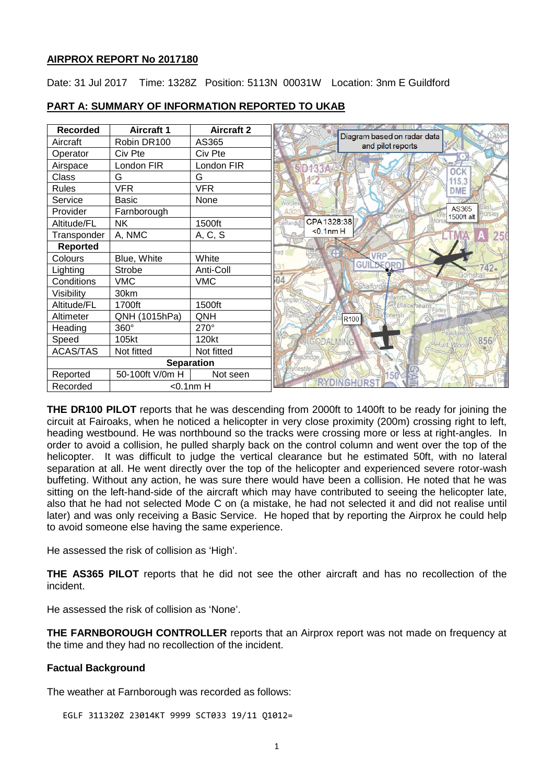### **AIRPROX REPORT No 2017180**

Date: 31 Jul 2017 Time: 1328Z Position: 5113N 00031W Location: 3nm E Guildford

| <b>Recorded</b>           | <b>Aircraft 1</b> | <b>Aircraft 2</b> | Diagram based on radar data    |
|---------------------------|-------------------|-------------------|--------------------------------|
| Aircraft                  | Robin DR100       | AS365             | and pilot reports              |
| Operator                  | Civ Pte           | Civ Pte           |                                |
| Airspace                  | London FIR        | London FIR        | <b>SD133A</b><br><b>OCK</b>    |
| Class                     | G                 | G                 | 115.3                          |
| <b>Rules</b>              | <b>VFR</b>        | <b>VFR</b>        | DME                            |
| Service                   | <b>Basic</b>      | None              |                                |
| Provider                  | Farnborough       |                   | AS365<br>1500ft alt            |
| Altitude/FL               | <b>NK</b>         | 1500ft            | CPA 1328:38<br>airlands        |
| Transponder               | A, NMC            | A, C, S           | $<$ 0.1nm $H$<br>25            |
| <b>Reported</b>           |                   |                   | nrd                            |
| Colours                   | Blue, White       | White             | <b>VRP</b><br>GUIL<br>NF∩¤r    |
| Lighting                  | Strobe            | Anti-Coll         | 42.                            |
| Conditions                | <b>VMC</b>        | <b>VMC</b>        | 04<br>Shalford                 |
| Visibility                | 30km              |                   |                                |
| Altitude/FL               | 1700ft            | 1500ft            | Blackheat                      |
| Altimeter                 | QNH (1015hPa)     | QNH               | R <sub>100</sub>               |
| Heading                   | 360°              | 270°              |                                |
| Speed                     | 105kt             | 120kt             | 856<br>GODALMING<br>Hurt, Wood |
| <b>ACAS/TAS</b>           | Not fitted        | Not fitted        | Bushri                         |
| <b>Separation</b>         |                   |                   |                                |
| Reported                  | 50-100ft V/0m H   | Not seen          |                                |
| $<$ 0.1nm $H$<br>Recorded |                   |                   |                                |

# **PART A: SUMMARY OF INFORMATION REPORTED TO UKAB**

**THE DR100 PILOT** reports that he was descending from 2000ft to 1400ft to be ready for joining the circuit at Fairoaks, when he noticed a helicopter in very close proximity (200m) crossing right to left, heading westbound. He was northbound so the tracks were crossing more or less at right-angles. In order to avoid a collision, he pulled sharply back on the control column and went over the top of the helicopter. It was difficult to judge the vertical clearance but he estimated 50ft, with no lateral separation at all. He went directly over the top of the helicopter and experienced severe rotor-wash buffeting. Without any action, he was sure there would have been a collision. He noted that he was sitting on the left-hand-side of the aircraft which may have contributed to seeing the helicopter late, also that he had not selected Mode C on (a mistake, he had not selected it and did not realise until later) and was only receiving a Basic Service. He hoped that by reporting the Airprox he could help to avoid someone else having the same experience.

He assessed the risk of collision as 'High'.

**THE AS365 PILOT** reports that he did not see the other aircraft and has no recollection of the incident.

He assessed the risk of collision as 'None'.

**THE FARNBOROUGH CONTROLLER** reports that an Airprox report was not made on frequency at the time and they had no recollection of the incident.

# **Factual Background**

The weather at Farnborough was recorded as follows:

EGLF 311320Z 23014KT 9999 SCT033 19/11 Q1012=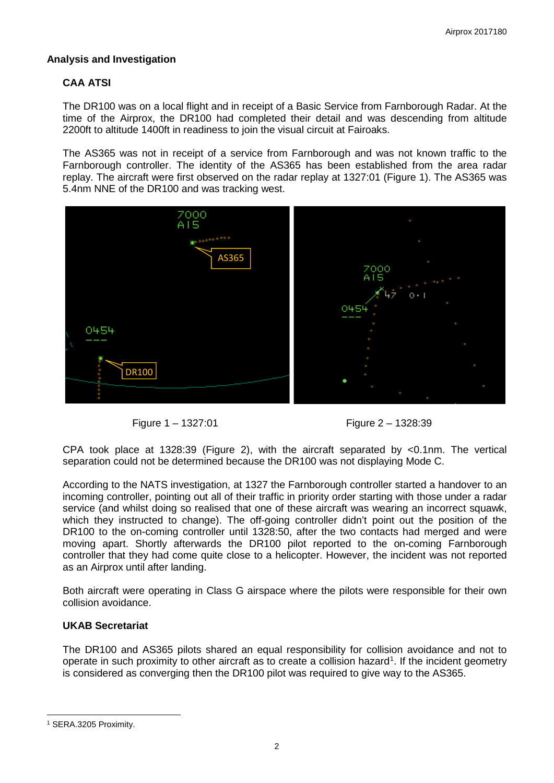# **Analysis and Investigation**

# **CAA ATSI**

The DR100 was on a local flight and in receipt of a Basic Service from Farnborough Radar. At the time of the Airprox, the DR100 had completed their detail and was descending from altitude 2200ft to altitude 1400ft in readiness to join the visual circuit at Fairoaks.

The AS365 was not in receipt of a service from Farnborough and was not known traffic to the Farnborough controller. The identity of the AS365 has been established from the area radar replay. The aircraft were first observed on the radar replay at 1327:01 (Figure 1). The AS365 was 5.4nm NNE of the DR100 and was tracking west.



Figure 1 – 1327:01 Figure 2 – 1328:39

CPA took place at 1328:39 (Figure 2), with the aircraft separated by <0.1nm. The vertical separation could not be determined because the DR100 was not displaying Mode C.

According to the NATS investigation, at 1327 the Farnborough controller started a handover to an incoming controller, pointing out all of their traffic in priority order starting with those under a radar service (and whilst doing so realised that one of these aircraft was wearing an incorrect squawk, which they instructed to change). The off-going controller didn't point out the position of the DR100 to the on-coming controller until 1328:50, after the two contacts had merged and were moving apart. Shortly afterwards the DR100 pilot reported to the on-coming Farnborough controller that they had come quite close to a helicopter. However, the incident was not reported as an Airprox until after landing.

Both aircraft were operating in Class G airspace where the pilots were responsible for their own collision avoidance.

# **UKAB Secretariat**

The DR100 and AS365 pilots shared an equal responsibility for collision avoidance and not to operate in such proximity to other aircraft as to create a collision hazard<sup>[1](#page-1-0)</sup>. If the incident geometry is considered as converging then the DR100 pilot was required to give way to the AS365.

 $\overline{\phantom{a}}$ 

<span id="page-1-0"></span><sup>1</sup> SERA.3205 Proximity.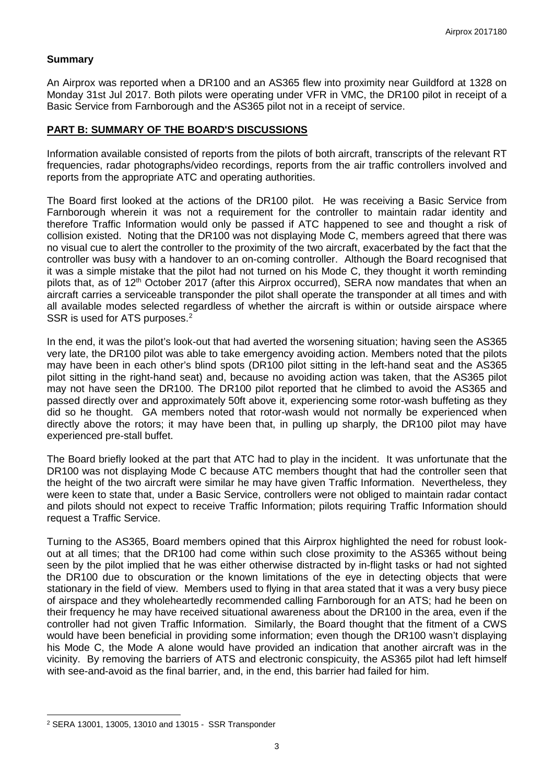### **Summary**

An Airprox was reported when a DR100 and an AS365 flew into proximity near Guildford at 1328 on Monday 31st Jul 2017. Both pilots were operating under VFR in VMC, the DR100 pilot in receipt of a Basic Service from Farnborough and the AS365 pilot not in a receipt of service.

### **PART B: SUMMARY OF THE BOARD'S DISCUSSIONS**

Information available consisted of reports from the pilots of both aircraft, transcripts of the relevant RT frequencies, radar photographs/video recordings, reports from the air traffic controllers involved and reports from the appropriate ATC and operating authorities.

The Board first looked at the actions of the DR100 pilot. He was receiving a Basic Service from Farnborough wherein it was not a requirement for the controller to maintain radar identity and therefore Traffic Information would only be passed if ATC happened to see and thought a risk of collision existed. Noting that the DR100 was not displaying Mode C, members agreed that there was no visual cue to alert the controller to the proximity of the two aircraft, exacerbated by the fact that the controller was busy with a handover to an on-coming controller. Although the Board recognised that it was a simple mistake that the pilot had not turned on his Mode C, they thought it worth reminding pilots that, as of 12<sup>th</sup> October 2017 (after this Airprox occurred), SERA now mandates that when an aircraft carries a serviceable transponder the pilot shall operate the transponder at all times and with all available modes selected regardless of whether the aircraft is within or outside airspace where SSR is used for ATS purposes.<sup>[2](#page-2-0)</sup>

In the end, it was the pilot's look-out that had averted the worsening situation; having seen the AS365 very late, the DR100 pilot was able to take emergency avoiding action. Members noted that the pilots may have been in each other's blind spots (DR100 pilot sitting in the left-hand seat and the AS365 pilot sitting in the right-hand seat) and, because no avoiding action was taken, that the AS365 pilot may not have seen the DR100. The DR100 pilot reported that he climbed to avoid the AS365 and passed directly over and approximately 50ft above it, experiencing some rotor-wash buffeting as they did so he thought. GA members noted that rotor-wash would not normally be experienced when directly above the rotors; it may have been that, in pulling up sharply, the DR100 pilot may have experienced pre-stall buffet.

The Board briefly looked at the part that ATC had to play in the incident. It was unfortunate that the DR100 was not displaying Mode C because ATC members thought that had the controller seen that the height of the two aircraft were similar he may have given Traffic Information. Nevertheless, they were keen to state that, under a Basic Service, controllers were not obliged to maintain radar contact and pilots should not expect to receive Traffic Information; pilots requiring Traffic Information should request a Traffic Service.

Turning to the AS365, Board members opined that this Airprox highlighted the need for robust lookout at all times; that the DR100 had come within such close proximity to the AS365 without being seen by the pilot implied that he was either otherwise distracted by in-flight tasks or had not sighted the DR100 due to obscuration or the known limitations of the eye in detecting objects that were stationary in the field of view. Members used to flying in that area stated that it was a very busy piece of airspace and they wholeheartedly recommended calling Farnborough for an ATS; had he been on their frequency he may have received situational awareness about the DR100 in the area, even if the controller had not given Traffic Information. Similarly, the Board thought that the fitment of a CWS would have been beneficial in providing some information; even though the DR100 wasn't displaying his Mode C, the Mode A alone would have provided an indication that another aircraft was in the vicinity. By removing the barriers of ATS and electronic conspicuity, the AS365 pilot had left himself with see-and-avoid as the final barrier, and, in the end, this barrier had failed for him.

 $\overline{\phantom{a}}$ 

<span id="page-2-0"></span><sup>2</sup> SERA 13001, 13005, 13010 and 13015 - SSR Transponder